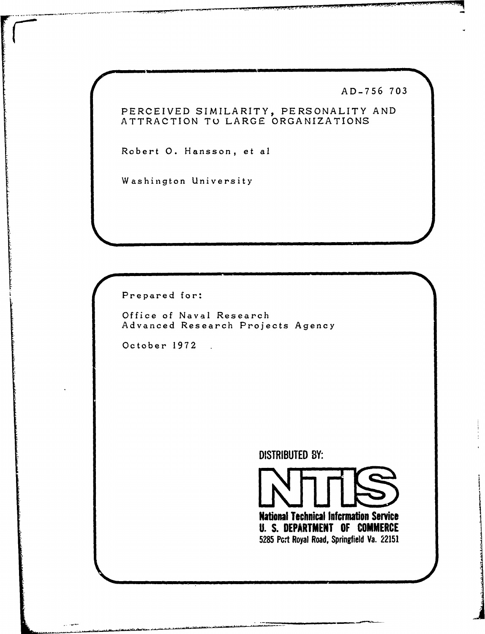AD-756 703

## PERCEIVED SIMILARITY, PERSONALITY AND<br>ATTRACTION TO LARGE ORGANIZATIONS

Robert O. Hansson, et al

Washington University

Prepared for:

Office of Naval Research Advanced Research Projects Agency

October 1972.

**DISTRIBUTED BY:** 



**National Technical Information Service U. S. DEPARTMENT OF COMMERCE** 5285 Pcrt Royal Road, Springfield Va. 22151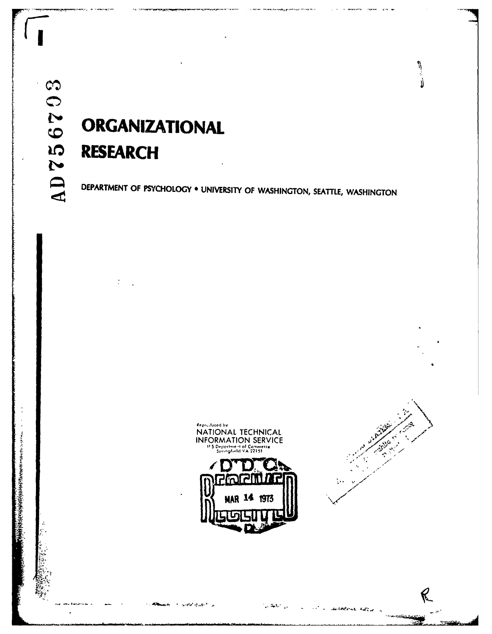# **ORGANIZATIONAL RESEARCH**

DEPARTMENT OF PSYCHOLOGY . UNIVERSITY OF WASHINGTON, SEATTLE, WASHINGTON



 $\mathcal{F}$  , and the state  $\mathcal{F}$  ,  $\mathcal{F}$ 

ان المليكات.<br>المراجعة



Ŋ

ଟ

ledens Albuma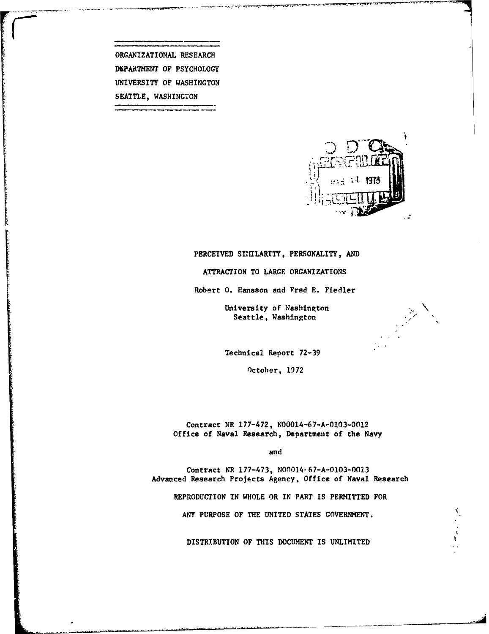ORGANIZATIONAL RESEARCH DEPARTMENT OF PSYCHOLOGY UNIVERSITY OF **WASHINGTON SEATTLE,** WASHINGION



#### PERCEIVED SIMILARITY, PERSONALITY, **AND**

ATTRACTION TO LARGE ORGANIZATIONS

Robert O. Hansson and Fred E. Fiedler

University of Washington Seattle, Washington

Technical Report **72-39**

October, **1972**

Contract NR **177-472, N00014-67-A-0103-0012** Office of Naval Research, Department of the Navy

and

Contract NR **177-473,** NOnO14-67-A-0103-0013 Advanced Research Projects Agency, Office of Naval Research

REPRODUCTION **IN** WHOLE OR IN PART IS PERMITTED FOR

**ANY PURPOSE** OF THE **UNITED STATES GOVERNMENT.**

DISTRIBUTION OF **THIS DOCUMENT IS UNLIMITED**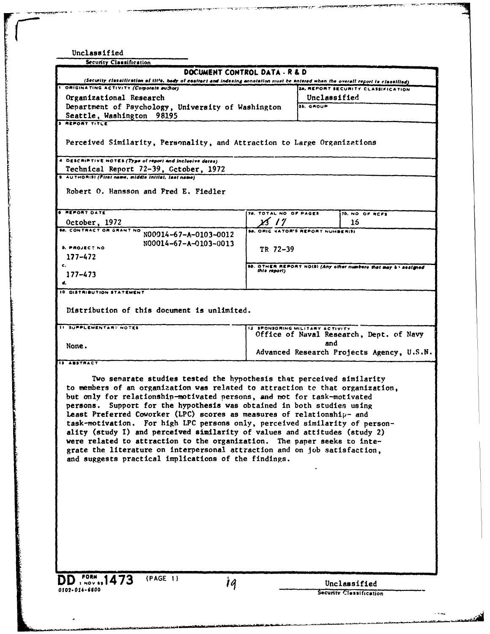| <b>Security Classification</b>                                                                                                                                                                                                                                                                                                                                                                                                                                                                                                                                                                                                                                                                                                                                     |                       |                                          |                                                                 |
|--------------------------------------------------------------------------------------------------------------------------------------------------------------------------------------------------------------------------------------------------------------------------------------------------------------------------------------------------------------------------------------------------------------------------------------------------------------------------------------------------------------------------------------------------------------------------------------------------------------------------------------------------------------------------------------------------------------------------------------------------------------------|-----------------------|------------------------------------------|-----------------------------------------------------------------|
| DOCUMENT CONTROL DATA - R & D                                                                                                                                                                                                                                                                                                                                                                                                                                                                                                                                                                                                                                                                                                                                      |                       |                                          |                                                                 |
| (Security classification of title, body of essitect and indexing annotation must be entered when the overall report is classified)<br>ORIGINATING ACTIVITY (Corporate author)                                                                                                                                                                                                                                                                                                                                                                                                                                                                                                                                                                                      |                       |                                          |                                                                 |
|                                                                                                                                                                                                                                                                                                                                                                                                                                                                                                                                                                                                                                                                                                                                                                    |                       | Unclassified                             | 24. REPORT SECURITY CLASSIFICATION                              |
| Organizational Research<br>Department of Psychology, University of Washington                                                                                                                                                                                                                                                                                                                                                                                                                                                                                                                                                                                                                                                                                      |                       | 26. GROUP                                |                                                                 |
| Seattle, Washington<br>98195                                                                                                                                                                                                                                                                                                                                                                                                                                                                                                                                                                                                                                                                                                                                       |                       |                                          |                                                                 |
| <b>3 REPORT TITLE</b>                                                                                                                                                                                                                                                                                                                                                                                                                                                                                                                                                                                                                                                                                                                                              |                       |                                          |                                                                 |
| Perceived Similarity, Personality, and Attraction to Large Organizations                                                                                                                                                                                                                                                                                                                                                                                                                                                                                                                                                                                                                                                                                           |                       |                                          |                                                                 |
| 4 DESCRIPTIVE NOTES (Type of report and inclusive dates)                                                                                                                                                                                                                                                                                                                                                                                                                                                                                                                                                                                                                                                                                                           |                       |                                          |                                                                 |
| Technical Report 72-39, Cctober, 1972                                                                                                                                                                                                                                                                                                                                                                                                                                                                                                                                                                                                                                                                                                                              |                       |                                          |                                                                 |
| 5 AUTHORISI (First name, middle initial, last name)                                                                                                                                                                                                                                                                                                                                                                                                                                                                                                                                                                                                                                                                                                                |                       |                                          |                                                                 |
| Robert O. Hansson and Fred E. Fiedler                                                                                                                                                                                                                                                                                                                                                                                                                                                                                                                                                                                                                                                                                                                              |                       |                                          |                                                                 |
| <b>6 REPORT DATE</b>                                                                                                                                                                                                                                                                                                                                                                                                                                                                                                                                                                                                                                                                                                                                               | 78. TOTAL NO OF PAGES |                                          | 76. NO OF REFS                                                  |
| October, 1972<br><b>BA. CONTRACT OR GRANT NO</b>                                                                                                                                                                                                                                                                                                                                                                                                                                                                                                                                                                                                                                                                                                                   |                       |                                          | 15                                                              |
| N00914-67-A-0103-0012                                                                                                                                                                                                                                                                                                                                                                                                                                                                                                                                                                                                                                                                                                                                              |                       | <b>SA. ORIG NATOR'S REPORT NUMBERISI</b> |                                                                 |
| N00014-67-A-0103-0013<br><b>b. PROJECT NO</b>                                                                                                                                                                                                                                                                                                                                                                                                                                                                                                                                                                                                                                                                                                                      | TR 72-39              |                                          |                                                                 |
| $177 - 472$                                                                                                                                                                                                                                                                                                                                                                                                                                                                                                                                                                                                                                                                                                                                                        |                       |                                          |                                                                 |
|                                                                                                                                                                                                                                                                                                                                                                                                                                                                                                                                                                                                                                                                                                                                                                    |                       |                                          | 98. OTHER REPORT NOISI (Any other numbers that may 5 \ assigned |
| $177 - 473$                                                                                                                                                                                                                                                                                                                                                                                                                                                                                                                                                                                                                                                                                                                                                        | this report)          |                                          |                                                                 |
|                                                                                                                                                                                                                                                                                                                                                                                                                                                                                                                                                                                                                                                                                                                                                                    |                       |                                          |                                                                 |
| 10 DISTRIBUTION STATEMENT                                                                                                                                                                                                                                                                                                                                                                                                                                                                                                                                                                                                                                                                                                                                          |                       |                                          |                                                                 |
| Distribution of this document is unlimited.                                                                                                                                                                                                                                                                                                                                                                                                                                                                                                                                                                                                                                                                                                                        |                       |                                          |                                                                 |
| <b>11 SUPPLEMENTARY NOTES</b>                                                                                                                                                                                                                                                                                                                                                                                                                                                                                                                                                                                                                                                                                                                                      |                       | 12 SPONSORING MILITARY ACTIVITY          |                                                                 |
|                                                                                                                                                                                                                                                                                                                                                                                                                                                                                                                                                                                                                                                                                                                                                                    |                       |                                          | Office of Naval Research, Dept. of Navy                         |
| None.                                                                                                                                                                                                                                                                                                                                                                                                                                                                                                                                                                                                                                                                                                                                                              |                       | and                                      | Advanced Research Projects Agency, U.S.N.                       |
| <b>13 ABSTRACT</b>                                                                                                                                                                                                                                                                                                                                                                                                                                                                                                                                                                                                                                                                                                                                                 |                       |                                          |                                                                 |
| Two senarate studies tested the hypothesis that perceived similarity<br>to members of an organization was related to attraction to that organization,<br>but only for relationship-motivated persons, and not for task-motivated<br>persons. Support for the hypothesis was obtained in both studies using<br>Least Preferred Coworker (LPC) scores as measures of relationship- and<br>task-motivation. For high LPC persons only, perceived similarity of person-<br>ality (study I) and perceived similarity of values and attitudes (study 2)<br>were related to attraction to the organization. The paper seeks to inte-<br>grate the literature on interpersonal attraction and on job satisfaction,<br>and suggests practical implications of the findings. |                       |                                          |                                                                 |
|                                                                                                                                                                                                                                                                                                                                                                                                                                                                                                                                                                                                                                                                                                                                                                    |                       |                                          |                                                                 |
|                                                                                                                                                                                                                                                                                                                                                                                                                                                                                                                                                                                                                                                                                                                                                                    |                       |                                          |                                                                 |
| (PAGE 1)<br>$508$ <sup>FORM</sup> ., 1473<br>$\mathbf{1}$                                                                                                                                                                                                                                                                                                                                                                                                                                                                                                                                                                                                                                                                                                          |                       |                                          | Unclassified                                                    |

77730

 $\overline{\phantom{0}}$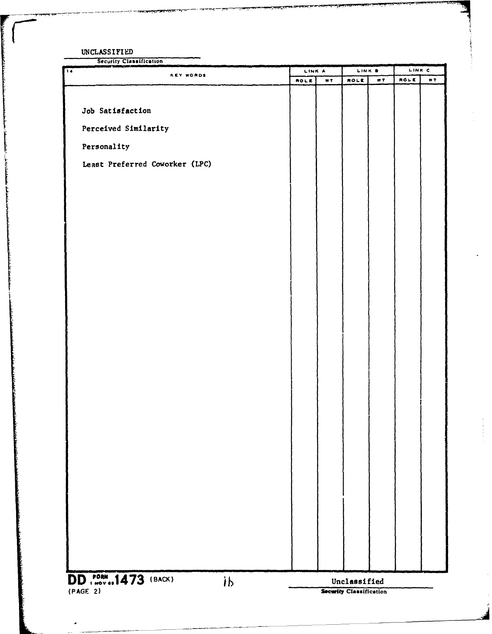UNCLASSIFIED

شاشان بيمان

Security Classification

| <b>KEY WORDS</b>                                        | LINK A      |      | LINK B                  |     | LINK C |     |
|---------------------------------------------------------|-------------|------|-------------------------|-----|--------|-----|
|                                                         | <b>ROLE</b> | W.T. | ROLE                    | WT. | ROLE   | WT. |
|                                                         |             |      |                         |     |        |     |
| Job Satisfaction                                        |             |      |                         |     |        |     |
| Perceived Similarity                                    |             |      |                         |     |        |     |
|                                                         |             |      |                         |     |        |     |
| Personality                                             |             |      |                         |     |        |     |
| Least Preferred Coworker (LPC)                          |             |      |                         |     |        |     |
|                                                         |             |      |                         |     |        |     |
|                                                         |             |      |                         |     |        |     |
|                                                         |             |      |                         |     |        |     |
|                                                         |             |      |                         |     |        |     |
|                                                         |             |      |                         |     |        |     |
|                                                         |             |      |                         |     |        |     |
|                                                         |             |      |                         |     |        |     |
|                                                         |             |      |                         |     |        |     |
|                                                         |             |      |                         |     |        |     |
|                                                         |             |      |                         |     |        |     |
|                                                         |             |      |                         |     |        |     |
|                                                         |             |      |                         |     |        |     |
|                                                         |             |      |                         |     |        |     |
|                                                         |             |      |                         |     |        |     |
|                                                         |             |      |                         |     |        |     |
|                                                         |             |      |                         |     |        |     |
|                                                         |             |      |                         |     |        |     |
|                                                         |             |      |                         |     |        |     |
|                                                         |             |      |                         |     |        |     |
|                                                         |             |      |                         |     |        |     |
|                                                         |             |      |                         |     |        |     |
|                                                         |             |      |                         |     |        |     |
|                                                         |             |      |                         |     |        |     |
|                                                         |             |      |                         |     |        |     |
|                                                         |             |      |                         |     |        |     |
|                                                         |             |      |                         |     |        |     |
|                                                         |             |      |                         |     |        |     |
|                                                         |             |      |                         |     |        |     |
|                                                         |             |      |                         |     |        |     |
|                                                         |             |      |                         |     |        |     |
| <b>DD</b> . MOV  1473 (BACK)<br>$\mathbf{1} \mathbf{p}$ |             |      | Unclassified            |     |        |     |
| (PAGE 2)                                                |             |      | Security Classification |     |        |     |

<del>र प्रा</del>प्त रहा€ स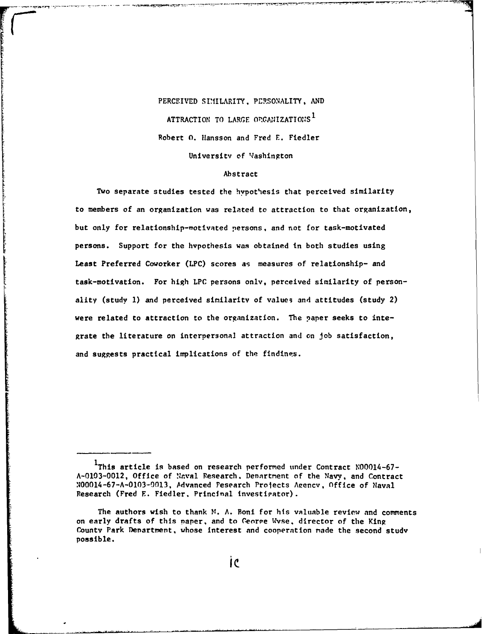## PERCEIVED SIMILARITY, PERSONALITY, AND ATTRACTION TO LARGE **OPGANIZATIONS <sup>1</sup>** Robert O. Hansson and Fred E. Fiedler University of Washington

#### Abstract

Two separate studies tested the hypothesis that perceived similarity to members of an organization was related to attraction to that organization, but only for relationship-motivated persons, and not for task-motivated persons. Support for the hypothesis was obtained in both studies using Least Preferred Coworker (LPC) scores as measures of relationship- and task-motivation. For high LPC persons only, perceived similarity of personality (study 1) and perceived similarity of values and attitudes (study 2) were related to attraction to the organization. The paper seeks to integrate the literature on interpersonal attraction and on job satisfaction, and suggests practical implications of the findings.

IThis article is based on research performed under Contract N00014-67-A-0103-0012, Office of Naval Research. Denartment of the Navy, and Contract N00014-67-A-0103-0013, Advanced Pesearch Projects Aeencv, Office of Naval Research (Fred E. Fiedler. Princinal Investipator).

The authors wish to thank **M.** A. Boni for his valuable review and comments on early drafts of this paper, and to Ceorpe Wvse. director of the King County Park Denartment, whose interest and cooperation nade the second study possible.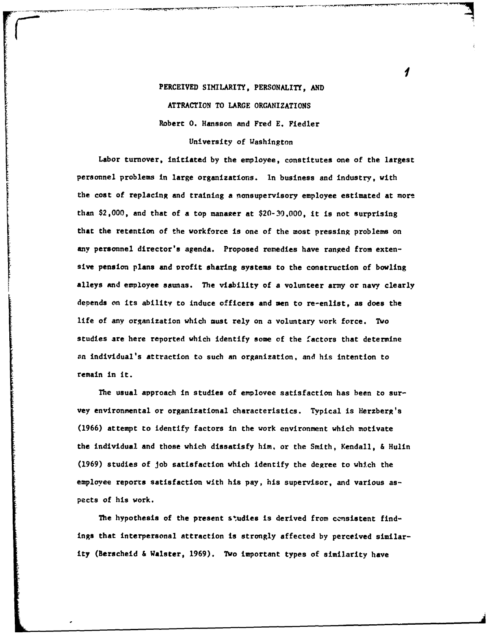## PERCEIVED SIMILARITY, PERSONALITY, **AND** ATTRACTION TO LARGE ORGANIZATIONS Robert **0.** Hansson and Fred **E.** Fiedler University of Washington

Labor turnover, initiated **by** the employee, constitutes one of the largest personnel problems in large organizations. **In** business and industry, with the cost of replacing and training **a** nonsupervisory employee estimated at more than \$2,000, and that of a top manaaer at **\$20-30,000,** it is not surprising that the retention of the workforce is one of the most pressing problems on any personnel **director's** agenda. Proposed remedies have ranged from extensive pension plans and arofit sharing systems to the construction of bowling alleys and employee saunas. The viability of a volunteer army or navy clearly depends on its ability to induce officers and men to re-enlist, as does the life of any organization which must rely on a voluntary work force. Two studies are here reported which identify some **of** the factors that determine an individual's attraction to such an organization, and his intention to remain in it.

The usual approach in studies of employee satisfaction has been to survey environmental or organizational characteristics. Typical is Herzberg's **(1966)** attempt to identify factors in the work environment which motivate the individual and those which dissatisfy him, or the Smith, Kendall, **&** Hulin **(1969)** studies of job satisfaction which identify the degree to which the employee reports satisfaction with his pay, his supervisor, and various aspects of his work.

The hypothesis of the present studies is derived from consistent findings that interpersonal attraction **is** strongly affected by perceived similarity (Berscheid **&** alster, **1969).** Two important types of similarity have

1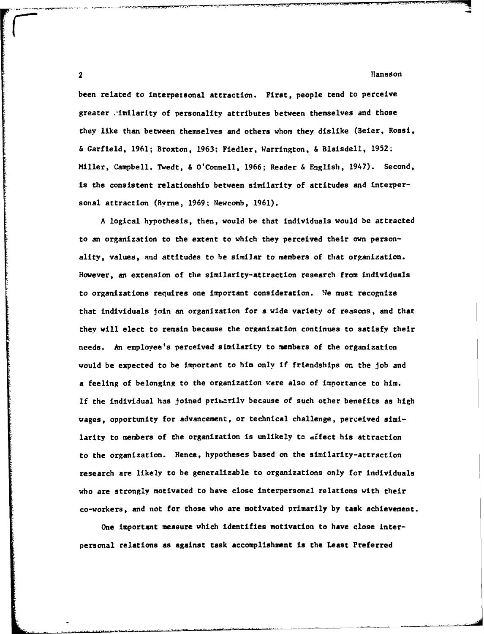$2$  Hansson and  $\sim$  Hansson and  $\sim$  Hansson and  $\sim$  Hansson and  $\sim$ 

been related to interpersonal attraction. First, people tend to perceive greater .imilarity of personality attributes between themselves and those they like than between themselves and others whom they dislike (Beier, Rossi, & Garfield, 1961; Broxton, **1963:** Fiedler, Warrington, & Blaisdell, 1952; Miller, Campbell. Twedt, & O'Connell, **1966;** Reader & English, 1947). Second, is the consistent relationshin between similarity of attitudes and interpersonal attraction (Byrne, **1969:** Newcomb, **1961).**

A logical hypothesis, then, would be that individuals would be attracted to an organization to the extent to which they perceived their own personality, values, and attitudes to be similar to members of that organization. However, an extension of the similarity-attraction research from individuals to organizations requires one important consideration. Ve must recognize that individuals join an organization for a wide variety of reasons, and that they will elect to remain because the organization continues to satisfy their needs. An employee's perceived similarity to members of the organization would be expected to be important to him only if friendships **or.** the job and a feeling of belonging to the organization were also of importance to him. If the individual has joined priuarilv because of such other benefits as high wages, opportunity for advancement, or technical challenge, perceived similarity to members of the organization is unlikely **tc** affect his attraction to the organization. Hence, hypotheses based on the similarity-attraction research are likely to be generalizable to organizations only for individuals who are strongly motivated to have close interpersonal relations with their co-workers, and not for those who are motivated primarily **by** task achievement.

One important measure which identifies motivation to have close Interpersonal relations as against task accomplishment is the Least Preferred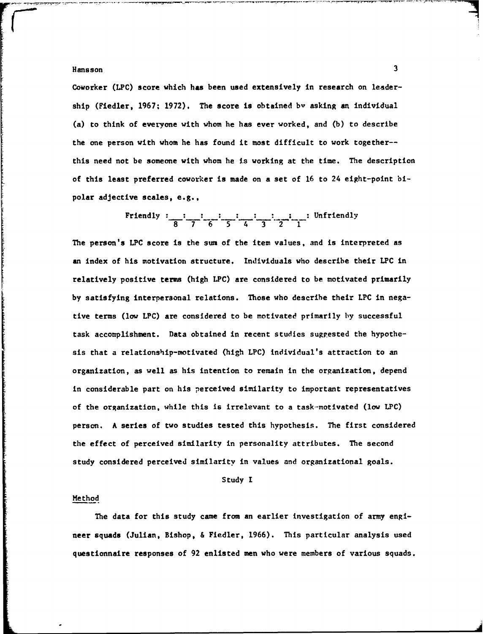Coworker (LPC) score which has been used extensively in research on leadership (Fiedler, 1967; 1972). The score is obtained **by** asking an individual (a) to think of everyone with whom he has ever worked, and **(b)** to describe the one person with whom he has found it most difficult to work together- this need not be someone with whom he is working at the time. The description of this least preferred coworker is made on a set of **16** to 24 eight-point bipolar adjective scales, e.g.,

$$
\text{Friendly : } \frac{1}{8} \cdot \frac{1}{7} \cdot \frac{1}{6} \cdot \frac{1}{5} \cdot \frac{1}{4} \cdot \frac{1}{3} \cdot \frac{1}{2} \cdot \frac{1}{1} \cdot \text{Unfortunately}
$$

The person's LPC score is the sum of the item values, and is interpreted as an index of his motivation structure. Individuals who describe their LPC in relatively positive terms (high LPC) are considered to be motivated primarily **by** satisfying interpersonal relations. Those who describe their LPC in negative terms (low LPC) are considered to be motivated primarily by successful task accomplishment. Data obtained in recent studies suggested the hypothesis that a relationship-motivated (high **LPC)** individual's attraction to an organization, as well as his intention to remain in the organization, depend in considerable part on his perceived similarity to important representatives of the organization, while this is irrelevant to a task-motivated (low LPC) person. A series of two studies tested this hypothesis. The first considered the effect of perceived similarity in personality attributes. The second study considered perceived similarity in values and organizational goals.

#### Study I

#### Method

The data for this study came from an earlier investigation of army engineer squads (Julian, Bishop, & Fiedler, **1966).** This particular analysis used questionnaire responses of 92 enlisted men who were members of various squads.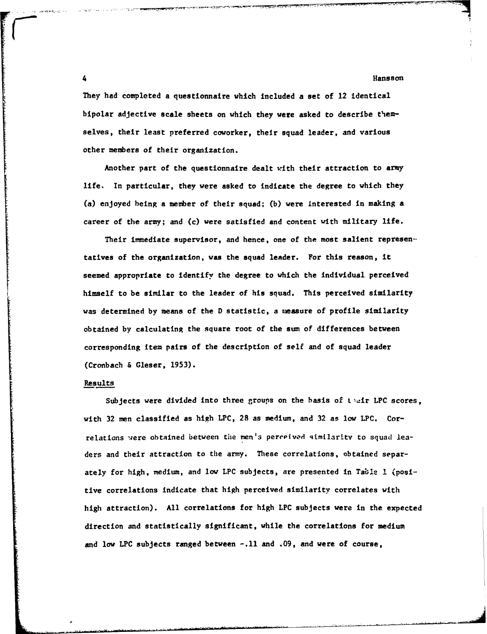4 **A** Hansson Communication of the Communication of the Communication of the Communication of the Communication of the Communication of the Communication of the Communication of the Communication of the Communication of th

They **had** completed a questionnaire which included a set of 12 identical bipolar adjective scale sheets on which they were asked to describe themselves, their least preferred coworker, their squad leader, and various other members of their organization.

Another part of the questionnaire dealt with their attraction to army life. In particular, they were asked to indicate the degree to which they (a) enjoyed being a member of their squad; **(b)** were Interested in making a career of the army; and (c) were satisfied and content with military life.

Their inmediate supervisor, and hence, one of the most salient representatives of the organization, was the squad leader. For this reason, it seemed appropriate to identify the degree to which the individual perceived himself to be similar to the leader of his squad. This perceived similarity was determined **by** means **of** the **D** statistic, a measure of profile similarity obtained **by** calculating the square root of the sum of differences between corresponding item pairs of the description of self and of squad leader (Cronbach & Gleser, **1953).**

#### Results

Subjects were divided into three groups on the basis of tair LPC scores, with **32** men classified as high LPC, 28 as medium, and **32** as low LPC. Correlations were obtained between *the* men's pereoived qimilarity to squad leaders and their attraction to the army. These correlations, obtained separately for high, medium, and low LPC subjects, are presented in Table **I** (positive correlations indicate that high perceived similarity correlates with high attraction). **All** correlations for high LPC subjects were in the expected direction and statistically significant, while the correlations for medium and low LPC subjects ranged between **-.11** and **.09,** and were of course,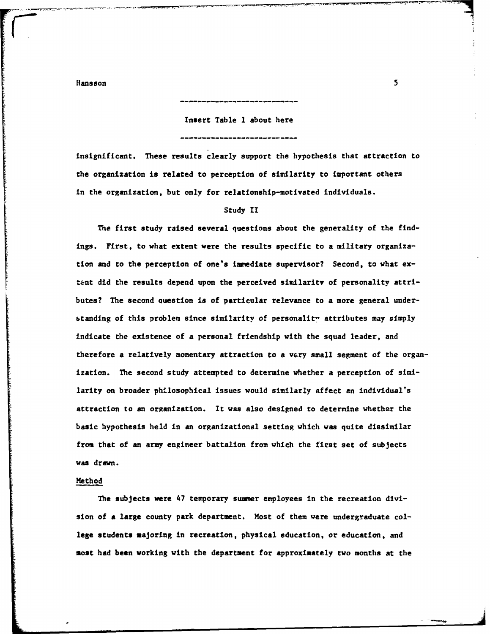Insert Table **1** about here

insignificant. These results clearly support the hypothesis that attraction to the organization is related to perception of similarity to important others in the organization, but only for relationship-motivated individuals.

#### Study II

The first study raised several questions about the generality of the findings. First, to what extent were the results specific to a military organization and to the perception of one's immediate supervisor? Second, to what extant did the results depend upon the perceived similaritv of personality attributes? The second uestion is of particular relevance to a more general understanding of this problem since similarity of personality attributes may simply indicate the existence of a personal friendship with the squad leader, and therefore a relatively momentary attraction to a very small segment of the organization. The second study attempted to determine whether a perception of similarity on broader philosophical issues would similarly affect an individual's attraction to an organization. It was also designed to determine whether the basic hypothesis held in an organizational setting which was quite dissimilar from that of an army engineer battalion from which the first set of subjects was drawn.

#### Method

The subjects were 47 temporary summer employees in the recreation division of **a** large county park department. Most of them were undergraduate college students majoring in recreation, physical education, or education, and most **had** been working with the department for approximately two months at the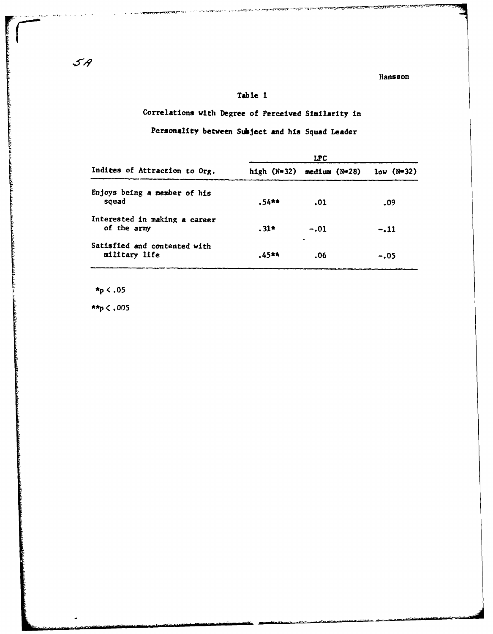#### Table 1

## Correlations with Degree of Perceived Similarity in

## Personality between Subject and his Squad Leader

|                                               |        | <b>LPC</b>                    |              |
|-----------------------------------------------|--------|-------------------------------|--------------|
| Indices of Attraction to Org.                 |        | high $(N=32)$ medium $(N=28)$ | $low$ (N=32) |
| Enjoys being a member of his<br>squad         | .54**  | .01                           | .09          |
| Interested in making a career<br>of the army  | $.31*$ | $-.01$                        | $-.11$       |
| Satisfied and contented with<br>military life | .45**  | ٠<br>.06                      | $-.05$       |

 $\star_{p}$  < .05

\*\*p $< .005$ 

 $\mathcal{L}_{\mathcal{F}}(\mathbf{r}_{\mathcal{A}})$  $\sim 10$  .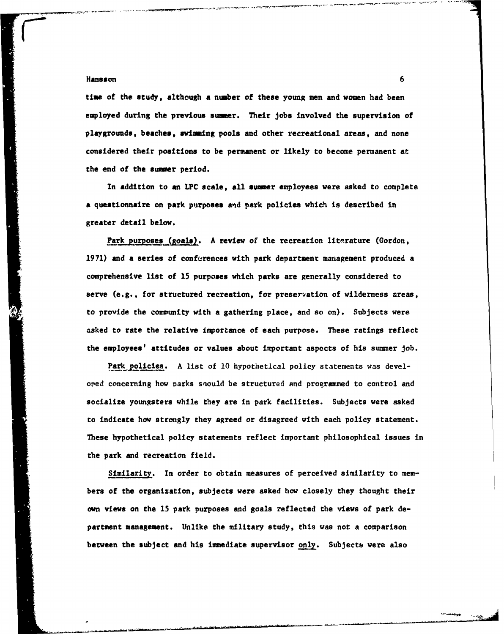time of the study, although a number of these young men and women had been employed during the previous **sumer.** Their Jobs involved the supervision of playgrounds, beaches, swimming pools and other recreational areas, and none considered their positions to be permanent or likely to become permanent at the end of the **summer** period.

In addition to an LPC scale, **all owner** employees were asked to complete **a** questionnaire on park purposes and park policies which is described in greater detail below.

Park purposes (goals). A review of the recreation literature (Gordon, **1971)** and a series of conferences with park department management produced a comprehensive list of **15** purposes which parks are generally considered to serve (e.g., for structured recreation, for preservation of wilderness areas, to provide the comunity with a gathering place, and so on). Subjects were asked to rate the relative importance of each purpose. These ratings reflect the employees' attitudes or values about important aspects of his summer job.

Park policies. **A** list of **10** hypothetical policy statements was developed concerning how parks snould be structured and programmed to control and socialize youngsters while they are in park facilities. Subjects were asked to indicate how strongly they agreed or disagreed with each policy statement. These hypothetical policy statements reflect important philosophical issues in the park and recreation field.

Similarity. In order to obtain measures of perceived similarity to members of the organization, subjects were asked how closely they thought their **own** views on the **15** park purposes and goals reflected the views of park department management. Unlike the military study, this was not a comparison between the subject and his immediate supervisor only. Subjects were also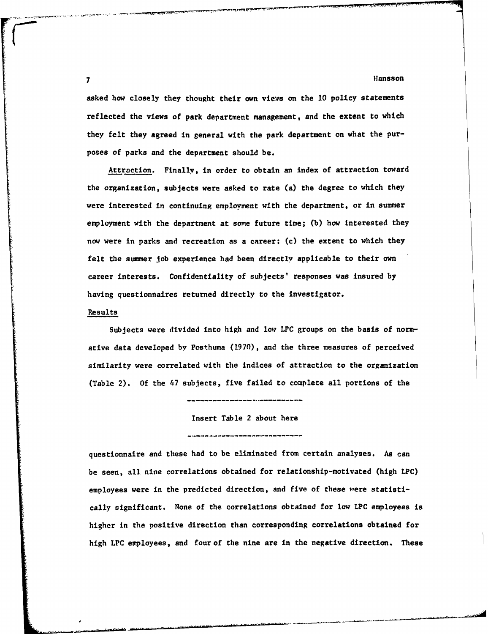**7** flansson

asked how closely they thought their own views on the 10 policy statements reflected the views of park department management, and the extent to which they felt they agreed in general with the park department on what the purposes of parks and the department should be.

Attraction. Finally, In order to obtain an index of attraction toward the organization, subjects were asked to rate (a) the degree to which they were interested in continuing employment with the department, or in summer employment with the department at some future time; **(b)** how interested they now were in parks and recreation as a career; (c) the extent to which they felt the summer job experience had been directly applicable to their own career interests. Confidentiality of subjects' responses was insured **by** having questionnaires returned directly to the investigator.

#### Results

Subjects were divided into high and low LPC groups on the basis of normative data developed **by** Pcsthuma **(1970),** and the three measures of perceived similarity were correlated with the indices of attraction to the organization (Table 2). **Of** the 47 subjects, five failed to complete all portions of the

Insert Table 2 about here

questionnaire and these had to be eliminated from certain analyses. As can be seen, all nine correlations obtained for relationship-motivated (high LPC) employees were in the predicted direction, and five of these were statistically significant. None of the correlations obtained for **low** LPC employees is higher in the positive direction than corresponding correlations obtained for high *LPC* employees, and four of the nine are in the negative direction. These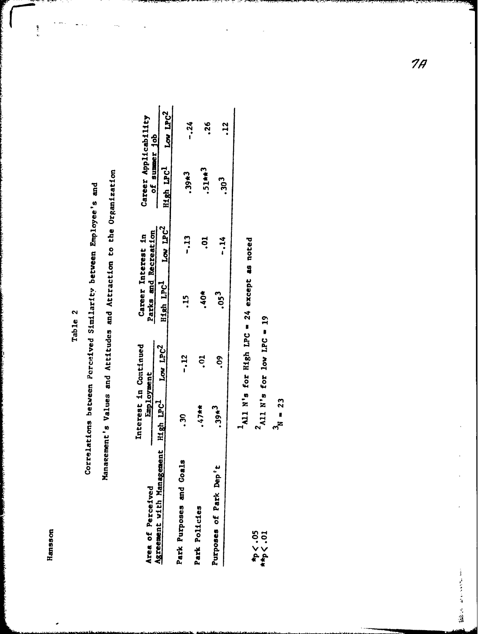Table 2

بودا بو

Correlations between Perceived Similarity between Employee's and

Management's Values and Attitudes and Attraction to the Organization

| Area of Perceived                           | Interest in Continued<br>Employment |                               | Parks and Recreation<br>Career Interest in    |                      | Career Applicability                   |               |
|---------------------------------------------|-------------------------------------|-------------------------------|-----------------------------------------------|----------------------|----------------------------------------|---------------|
| Agreement with Managemen                    | nt High LPC-                        | Low LPC2                      | High LPC <sup>1</sup>                         | Low LPC <sup>2</sup> | of summer job<br>High LPC <sup>1</sup> | Low LPC2      |
| Park Purposes and Goals                     | ິສຸ                                 | $-12$                         | <u>يا</u>                                     | $-13$                | $.39*3$                                | -.24          |
| Park Policies                               | $**t$                               | ີ                             | $\ddot{\bm{6}}$                               | 5<br>S               | 51##3                                  |               |
| Purposes of Park Dep't                      | $.39*3$                             | S.                            | .05 <sup>3</sup>                              | $-14$                | .30 <sup>3</sup>                       | $\frac{8}{3}$ |
|                                             |                                     |                               |                                               |                      |                                        | $\mathbf{z}$  |
|                                             |                                     |                               | $4$ All N's for High LPC = 24 except as noted |                      |                                        |               |
| $z_0$ . $>$ $4$<br>$\star_{\text{p}}$ < .01 |                                     | $^2$ All N's for low LPC = 19 |                                               |                      |                                        |               |

 $3<sub>N</sub> = 23$ 

 $7<sub>1</sub>$ 

· South Street, Spiege, Spiege, Spiege, Spiege, Spiege, Spiege, Spiege, Spiege, Spiege,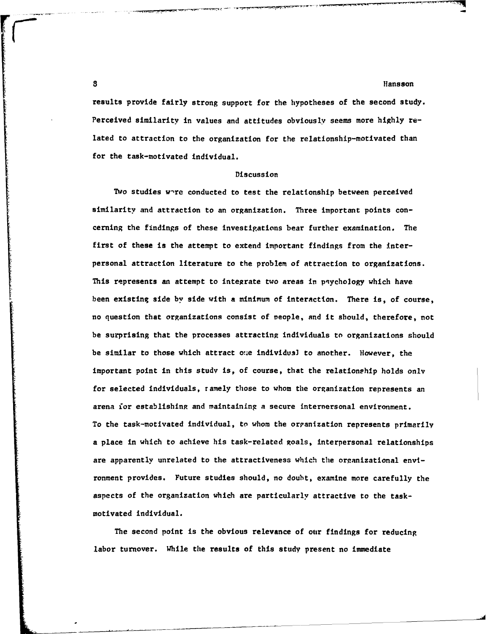results provide fairly strong support for the hypotheses of the second study. Perceived similarity in values and attitudes obviously seems more **highly** related to attraction to the organization for the relationship-motivated than for the task-motivated individual.

**-1 7,**

#### Discussion

Two studies w-re conducted to test the relationship between perceived similarity and attraction to an organization. Three important points concerning the findings of these investigations bear further examination. The first of these is the attempt to extend important findings from the interpersonal attraction literature to the problem of attraction to organizations. This represents an attempt to integrate two areas in psychology which have been existing side by side with a minimum of interaction. There is, of course, no question that organizations consist of veople, and it should, therefore, not be surprising that the processes attracting individuals to organizations should be similar to those which attract one individusl to another. However, the important point in this study is, of course, that the relationship holds only for selected individuals, ramely those to whom the organization represents an arena for establishing and maintaining a secure internersonal environment. To the task-motivated individual, to whom the organization represents primarily a place in which to achieve his task-related goals, interpersonal relationships are apparently unrelated to the attractiveness which the organizational envlronment provides. Future studies should, no doubt, examine more carefully the aspects of the organization which are particularly attractive to the taskmotivated individual.

The second point is the obvious relevance of our findings for reducing labor turnover. While the results of this study present no immediate

**3** llansson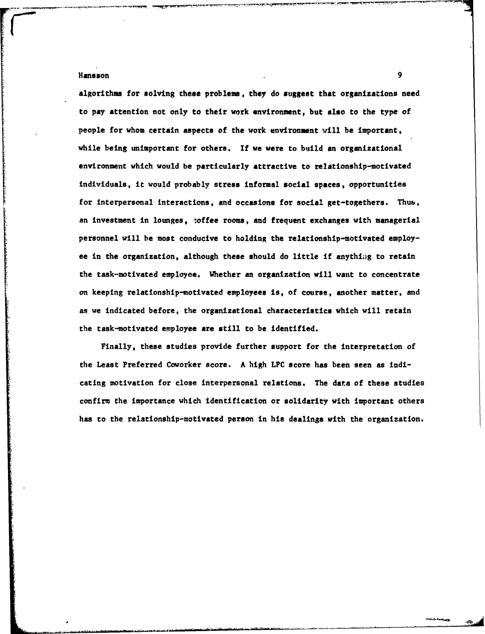algorithms for solving these problem, they do suggest that organizations need to **pay** attention not only to their work environment, but also to the type of people for whom certain aspects of the work environment will **be** important, while being unimportant for others. **If** we were to build an organizational environment which would be particularly attractive to relationship-motivated individuals, it would probably stress informal social spaces, opportunities for interpersonal interactions, and occasions for social get-togethers. Thub, an investment in lounges, coffee rooms, and frequent exchanges with managerial personnel will be most conducive to holding the relationship-motivated employee in the organization, although these should do little if anythiag to retain the task-motivated employee. Whether an organization will want to concentrate on keeping relationship-motivated employees is, of course, another matter, and as we indicated before, the organizational characteristics which will retain the task-motivated employee are still to be identified.

Finally, these studies provide further support for the interpretation of the Least Preferred Coworker score. **A** high LPC score has been seen as indicating motivation for close interpersonal relations. The data of these studies confirm the importance which identification or solidarity with important others has **to** the relationship-motivated person in his dealings with the organization.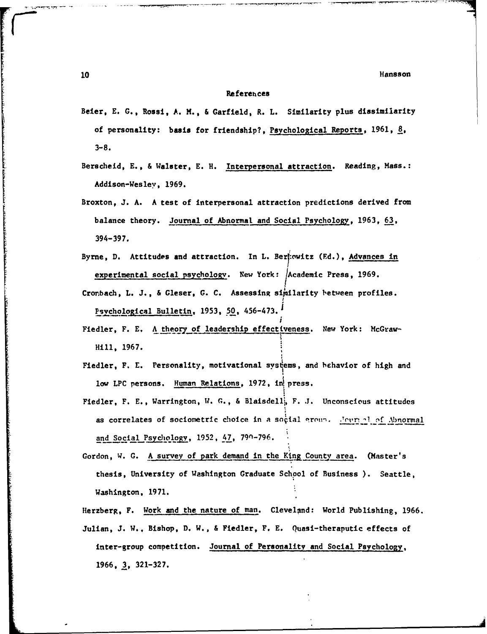#### **References**

- Beier, **E. G.,** Rossi, **A. M., &** Garfield, R. L. Similarity plus dissimilarity of personality: basis *for* friendship?, Psychological Reports, **1961, 8, 3-8.**
- Berscheid, **E.,** & Walster, **E.** H. Interpersonal attraction. Reading, Mass.: Addison-Wesley, **1969.**
- Broxton, **J. A. A** test of interpersonal attraction predictions derived from balance theory. Journal of Abnormal and Social Psychology, **1963, 63, 394-397.**
- Byrne, **D.** Attitudes and attraction. In L. Ber:owitz **(Ed.),** Advances in experimental social psychology. New York: Academic Press, 1969.
- Cronbach, L. J., & Gleser, G. C. Assessing similarity between profiles. Psvchological Bulletin, **1953, 50,** 456-473.1
- Fiedler, F. E. A theory of leadership effectiveness. New York: McGraw-Hill, 1967.
- Fiedler, F. **E.** Personality, motivational systems, and behavior of high and low LPC persons. Human Relations, 1972, in press.
- Fiedler, F. **E.,** Warrington, W. **C.,** & Blaisdell, F. **J.** Unconscious attitudes as correlates of sociometric choice in a social group. *Lown al of Abnormal* and Social Psydwo, **1952,** *47,* **79-796.**
- Gordon, W. G. A survey of park demand in the King County area. (Master's thesis, University of Washington Graduate School of Business **).** Seattle, Washington, 1971.
- Herzberg, F. Work and the nature of man. Cleveland: World Publishing, 1966. Julian, **J. W.,** Bishop, **D.** W., & Fiedler, F. **E.** Quasi-theraputic effects of inter-group competition. Journal of Personality and Social Psychology, **1966, 3, 321-327.**